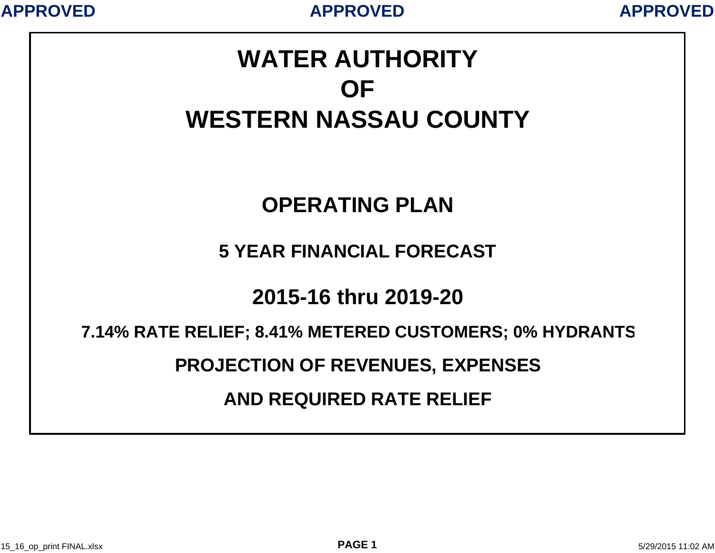

# **WATER AUTHORITYOFWESTERN NASSAU COUNTY**

# **OPERATING PLAN**

### **5 YEAR FINANCIAL FORECAST**

## **2015-16 thru 2019-20**

#### **7.14% RATE RELIEF; 8.41% METERED CUSTOMERS; 0% HYDRANT S**

#### **PROJECTION OF REVENUES, EXPENSES**

### **AND REQUIRED RATE RELIEF**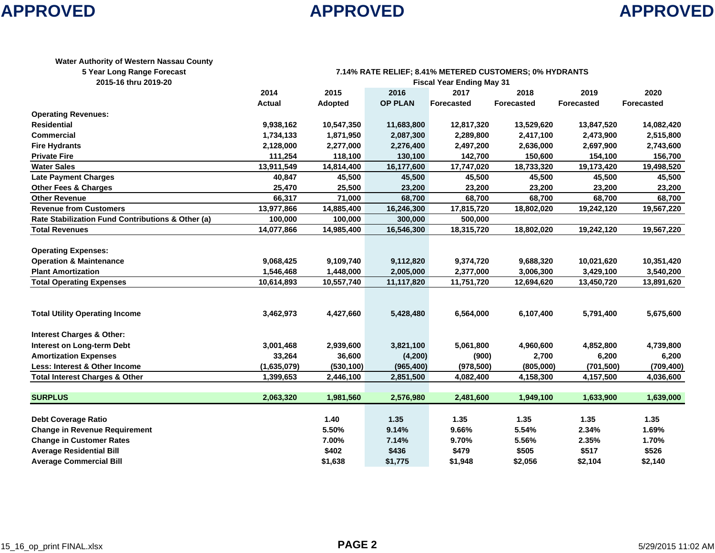

| Water Authority of Western Nassau County |                                                           |
|------------------------------------------|-----------------------------------------------------------|
| E Voor Lang Donge Escopet                | 7440/ DATE DELIEE, 0 440/ METEDEN CHRTOMEDR, 00/ HVNDANTR |

|  |  |  | 5 Year Long Range Foreca |  |
|--|--|--|--------------------------|--|
|--|--|--|--------------------------|--|

| <b>5 rear Long Range Forecast</b>                 | 7.14% RATE RELIEF; 8.41% METERED COSTOMERS; 0% HTDRANTS |            |                |            |                   |                   |                   |  |  |
|---------------------------------------------------|---------------------------------------------------------|------------|----------------|------------|-------------------|-------------------|-------------------|--|--|
| 2015-16 thru 2019-20                              | <b>Fiscal Year Ending May 31</b>                        |            |                |            |                   |                   |                   |  |  |
|                                                   | 2014                                                    | 2015       | 2016           | 2017       | 2018              | 2019              | 2020              |  |  |
|                                                   | <b>Actual</b>                                           | Adopted    | <b>OP PLAN</b> | Forecasted | <b>Forecasted</b> | <b>Forecasted</b> | <b>Forecasted</b> |  |  |
| <b>Operating Revenues:</b>                        |                                                         |            |                |            |                   |                   |                   |  |  |
| <b>Residential</b>                                | 9,938,162                                               | 10,547,350 | 11,683,800     | 12,817,320 | 13,529,620        | 13,847,520        | 14,082,420        |  |  |
| <b>Commercial</b>                                 | 1,734,133                                               | 1,871,950  | 2,087,300      | 2,289,800  | 2,417,100         | 2,473,900         | 2,515,800         |  |  |
| <b>Fire Hydrants</b>                              | 2,128,000                                               | 2,277,000  | 2,276,400      | 2,497,200  | 2,636,000         | 2,697,900         | 2,743,600         |  |  |
| <b>Private Fire</b>                               | 111,254                                                 | 118,100    | 130,100        | 142,700    | 150,600           | 154,100           | 156,700           |  |  |
| <b>Water Sales</b>                                | 13,911,549                                              | 14,814,400 | 16,177,600     | 17,747,020 | 18,733,320        | 19,173,420        | 19,498,520        |  |  |
| <b>Late Payment Charges</b>                       | 40,847                                                  | 45,500     | 45,500         | 45,500     | 45,500            | 45,500            | 45,500            |  |  |
| <b>Other Fees &amp; Charges</b>                   | 25,470                                                  | 25,500     | 23,200         | 23,200     | 23,200            | 23,200            | 23,200            |  |  |
| <b>Other Revenue</b>                              | 66,317                                                  | 71,000     | 68,700         | 68,700     | 68,700            | 68,700            | 68,700            |  |  |
| <b>Revenue from Customers</b>                     | 13,977,866                                              | 14,885,400 | 16,246,300     | 17,815,720 | 18,802,020        | 19,242,120        | 19,567,220        |  |  |
| Rate Stabilization Fund Contributions & Other (a) | 100,000                                                 | 100,000    | 300,000        | 500,000    |                   |                   |                   |  |  |
| <b>Total Revenues</b>                             | 14,077,866                                              | 14,985,400 | 16,546,300     | 18,315,720 | 18,802,020        | 19,242,120        | 19,567,220        |  |  |
|                                                   |                                                         |            |                |            |                   |                   |                   |  |  |
| <b>Operating Expenses:</b>                        |                                                         |            |                |            |                   |                   |                   |  |  |
| <b>Operation &amp; Maintenance</b>                | 9,068,425                                               | 9,109,740  | 9,112,820      | 9,374,720  | 9,688,320         | 10,021,620        | 10,351,420        |  |  |
| <b>Plant Amortization</b>                         | 1,546,468                                               | 1,448,000  | 2,005,000      | 2,377,000  | 3,006,300         | 3,429,100         | 3,540,200         |  |  |
| <b>Total Operating Expenses</b>                   | 10,614,893                                              | 10,557,740 | 11,117,820     | 11,751,720 | 12,694,620        | 13,450,720        | 13,891,620        |  |  |
|                                                   |                                                         |            |                |            |                   |                   |                   |  |  |
|                                                   |                                                         |            |                |            |                   |                   |                   |  |  |
| <b>Total Utility Operating Income</b>             | 3,462,973                                               | 4,427,660  | 5,428,480      | 6,564,000  | 6,107,400         | 5,791,400         | 5,675,600         |  |  |
|                                                   |                                                         |            |                |            |                   |                   |                   |  |  |
| <b>Interest Charges &amp; Other:</b>              |                                                         |            |                |            |                   |                   |                   |  |  |
| Interest on Long-term Debt                        | 3,001,468                                               | 2,939,600  | 3,821,100      | 5,061,800  | 4,960,600         | 4,852,800         | 4,739,800         |  |  |
| <b>Amortization Expenses</b>                      | 33,264                                                  | 36,600     | (4,200)        | (900)      | 2,700             | 6,200             | 6,200             |  |  |
| Less: Interest & Other Income                     | (1,635,079)                                             | (530, 100) | (965, 400)     | (978, 500) | (805,000)         | (701, 500)        | (709, 400)        |  |  |
| <b>Total Interest Charges &amp; Other</b>         | 1,399,653                                               | 2,446,100  | 2,851,500      | 4,082,400  | 4,158,300         | 4,157,500         | 4,036,600         |  |  |
|                                                   |                                                         |            |                |            |                   |                   |                   |  |  |
| <b>SURPLUS</b>                                    | 2,063,320                                               | 1,981,560  | 2,576,980      | 2,481,600  | 1,949,100         | 1,633,900         | 1,639,000         |  |  |
|                                                   |                                                         |            |                |            |                   |                   |                   |  |  |
| <b>Debt Coverage Ratio</b>                        |                                                         | 1.40       | 1.35           | 1.35       | 1.35              | 1.35              | 1.35              |  |  |
| <b>Change in Revenue Requirement</b>              |                                                         | 5.50%      | 9.14%          | 9.66%      | 5.54%             | 2.34%             | 1.69%             |  |  |
| <b>Change in Customer Rates</b>                   |                                                         | 7.00%      | 7.14%          | 9.70%      | 5.56%             | 2.35%             | 1.70%             |  |  |
| <b>Average Residential Bill</b>                   |                                                         | \$402      | \$436          | \$479      | \$505             | \$517             | \$526             |  |  |
| <b>Average Commercial Bill</b>                    |                                                         | \$1,638    | \$1,775        | \$1,948    | \$2,056           | \$2,104           | \$2,140           |  |  |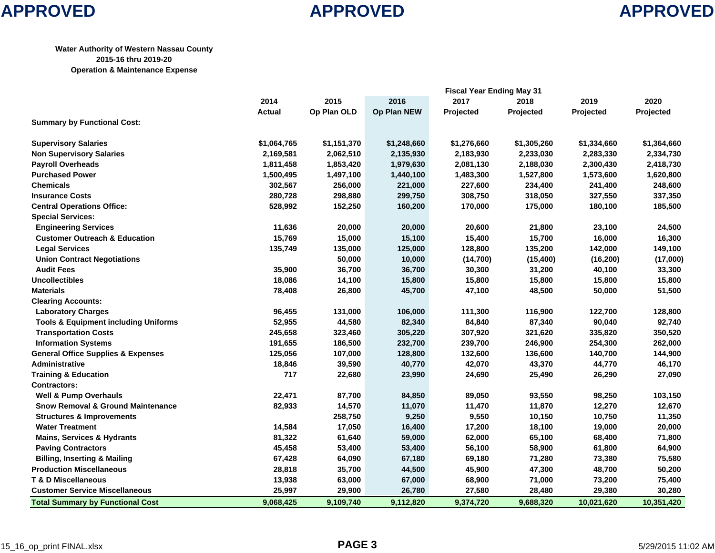#### **APPROVED APPROVED APPROVED**

#### **APPROVED**

#### **Water Authority of Western Nassau County 2015-16 thru 2019-20 Operation & Maintenance Expense**

|                                                 | <b>Fiscal Year Ending May 31</b> |             |             |             |             |             |             |
|-------------------------------------------------|----------------------------------|-------------|-------------|-------------|-------------|-------------|-------------|
|                                                 | 2014                             | 2015        | 2016        | 2017        | 2018        | 2019        | 2020        |
|                                                 | <b>Actual</b>                    | Op Plan OLD | Op Plan NEW | Projected   | Projected   | Projected   | Projected   |
| <b>Summary by Functional Cost:</b>              |                                  |             |             |             |             |             |             |
| <b>Supervisory Salaries</b>                     | \$1,064,765                      | \$1,151,370 | \$1,248,660 | \$1,276,660 | \$1,305,260 | \$1,334,660 | \$1,364,660 |
| <b>Non Supervisory Salaries</b>                 | 2,169,581                        | 2,062,510   | 2,135,930   | 2,183,930   | 2,233,030   | 2,283,330   | 2,334,730   |
| <b>Payroll Overheads</b>                        | 1,811,458                        | 1,853,420   | 1,979,630   | 2,081,130   | 2,188,030   | 2,300,430   | 2,418,730   |
| <b>Purchased Power</b>                          | 1,500,495                        | 1,497,100   | 1,440,100   | 1,483,300   | 1,527,800   | 1,573,600   | 1,620,800   |
| <b>Chemicals</b>                                | 302,567                          | 256,000     | 221,000     | 227,600     | 234,400     | 241,400     | 248,600     |
| <b>Insurance Costs</b>                          | 280,728                          | 298,880     | 299,750     | 308,750     | 318,050     | 327,550     | 337,350     |
| <b>Central Operations Office:</b>               | 528,992                          | 152,250     | 160,200     | 170,000     | 175,000     | 180,100     | 185,500     |
| <b>Special Services:</b>                        |                                  |             |             |             |             |             |             |
| <b>Engineering Services</b>                     | 11,636                           | 20,000      | 20,000      | 20,600      | 21,800      | 23,100      | 24,500      |
| <b>Customer Outreach &amp; Education</b>        | 15,769                           | 15,000      | 15,100      | 15,400      | 15,700      | 16,000      | 16,300      |
| <b>Legal Services</b>                           | 135,749                          | 135,000     | 125,000     | 128,800     | 135,200     | 142,000     | 149,100     |
| <b>Union Contract Negotiations</b>              |                                  | 50,000      | 10,000      | (14, 700)   | (15, 400)   | (16, 200)   | (17,000)    |
| <b>Audit Fees</b>                               | 35,900                           | 36,700      | 36,700      | 30,300      | 31,200      | 40,100      | 33,300      |
| <b>Uncollectibles</b>                           | 18,086                           | 14,100      | 15,800      | 15,800      | 15,800      | 15,800      | 15,800      |
| <b>Materials</b>                                | 78,408                           | 26,800      | 45,700      | 47,100      | 48,500      | 50,000      | 51,500      |
| <b>Clearing Accounts:</b>                       |                                  |             |             |             |             |             |             |
| <b>Laboratory Charges</b>                       | 96,455                           | 131,000     | 106,000     | 111,300     | 116,900     | 122,700     | 128,800     |
| <b>Tools &amp; Equipment including Uniforms</b> | 52,955                           | 44,580      | 82,340      | 84,840      | 87,340      | 90,040      | 92,740      |
| <b>Transportation Costs</b>                     | 245,658                          | 323,460     | 305,220     | 307,920     | 321,620     | 335,820     | 350,520     |
| <b>Information Systems</b>                      | 191,655                          | 186,500     | 232,700     | 239,700     | 246,900     | 254,300     | 262,000     |
| <b>General Office Supplies &amp; Expenses</b>   | 125,056                          | 107,000     | 128,800     | 132,600     | 136,600     | 140,700     | 144,900     |
| <b>Administrative</b>                           | 18,846                           | 39,590      | 40,770      | 42,070      | 43,370      | 44,770      | 46,170      |
| <b>Training &amp; Education</b>                 | 717                              | 22,680      | 23,990      | 24,690      | 25,490      | 26,290      | 27,090      |
| <b>Contractors:</b>                             |                                  |             |             |             |             |             |             |
| <b>Well &amp; Pump Overhauls</b>                | 22,471                           | 87,700      | 84,850      | 89,050      | 93,550      | 98,250      | 103,150     |
| <b>Snow Removal &amp; Ground Maintenance</b>    | 82,933                           | 14,570      | 11,070      | 11,470      | 11,870      | 12,270      | 12,670      |
| <b>Structures &amp; Improvements</b>            |                                  | 258,750     | 9,250       | 9,550       | 10,150      | 10,750      | 11,350      |
| <b>Water Treatment</b>                          | 14,584                           | 17,050      | 16,400      | 17,200      | 18,100      | 19,000      | 20,000      |
| <b>Mains, Services &amp; Hydrants</b>           | 81,322                           | 61,640      | 59,000      | 62,000      | 65,100      | 68,400      | 71,800      |
| <b>Paving Contractors</b>                       | 45,458                           | 53,400      | 53,400      | 56,100      | 58,900      | 61,800      | 64,900      |
| <b>Billing, Inserting &amp; Mailing</b>         | 67,428                           | 64,090      | 67,180      | 69,180      | 71,280      | 73,380      | 75,580      |
| <b>Production Miscellaneous</b>                 | 28,818                           | 35,700      | 44,500      | 45,900      | 47,300      | 48,700      | 50,200      |
| <b>T &amp; D Miscellaneous</b>                  | 13,938                           | 63,000      | 67,000      | 68,900      | 71,000      | 73,200      | 75,400      |
| <b>Customer Service Miscellaneous</b>           | 25,997                           | 29,900      | 26,780      | 27,580      | 28,480      | 29,380      | 30,280      |
| <b>Total Summary by Functional Cost</b>         | 9,068,425                        | 9,109,740   | 9,112,820   | 9,374,720   | 9,688,320   | 10,021,620  | 10,351,420  |